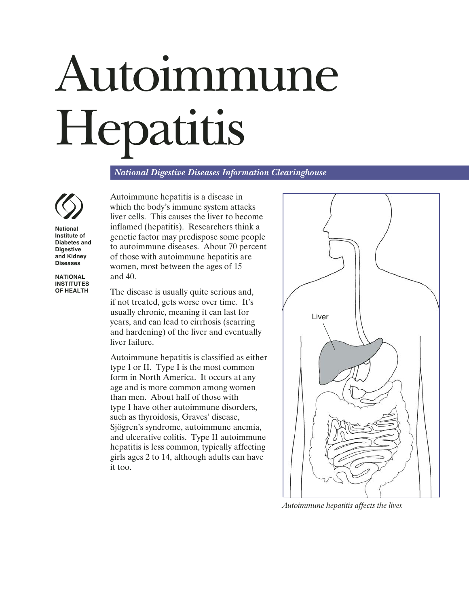# Autoimmune Hepatitis

*National Digestive Diseases Information Clearinghouse*



**National Institute of Diabetes and Digestive and Kidney Diseases**

**NATIONAL INSTITUTES OF HEALTH**

Autoimmune hepatitis is a disease in which the body's immune system attacks liver cells. This causes the liver to become inflamed (hepatitis). Researchers think a genetic factor may predispose some people to autoimmune diseases. About 70 percent of those with autoimmune hepatitis are women, most between the ages of 15 and 40.

The disease is usually quite serious and, if not treated, gets worse over time. It's usually chronic, meaning it can last for years, and can lead to cirrhosis (scarring and hardening) of the liver and eventually liver failure.

Autoimmune hepatitis is classified as either type I or II. Type I is the most common form in North America. It occurs at any age and is more common among women than men. About half of those with type I have other autoimmune disorders, such as thyroidosis, Graves' disease, Sjögren's syndrome, autoimmune anemia, and ulcerative colitis. Type II autoimmune hepatitis is less common, typically affecting girls ages 2 to 14, although adults can have it too.



*Autoimmune hepatitis affects the liver.*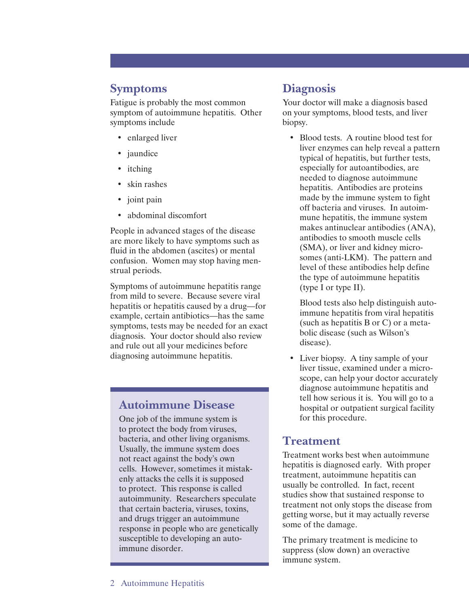# **Symptoms**

Fatigue is probably the most common symptom of autoimmune hepatitis. Other symptoms include

- enlarged liver
- jaundice
- itching
- skin rashes
- joint pain
- abdominal discomfort

People in advanced stages of the disease are more likely to have symptoms such as fluid in the abdomen (ascites) or mental confusion. Women may stop having menstrual periods.

Symptoms of autoimmune hepatitis range from mild to severe. Because severe viral hepatitis or hepatitis caused by a drug—for example, certain antibiotics—has the same symptoms, tests may be needed for an exact diagnosis. Your doctor should also review and rule out all your medicines before diagnosing autoimmune hepatitis.

# **Autoimmune Disease**

One job of the immune system is to protect the body from viruses, bacteria, and other living organisms. Usually, the immune system does not react against the body's own cells. However, sometimes it mistakenly attacks the cells it is supposed to protect. This response is called autoimmunity. Researchers speculate that certain bacteria, viruses, toxins, and drugs trigger an autoimmune response in people who are genetically susceptible to developing an autoimmune disorder.

# **Diagnosis**

Your doctor will make a diagnosis based on your symptoms, blood tests, and liver biopsy.

• Blood tests. A routine blood test for liver enzymes can help reveal a pattern typical of hepatitis, but further tests, especially for autoantibodies, are needed to diagnose autoimmune hepatitis. Antibodies are proteins made by the immune system to fight off bacteria and viruses. In autoimmune hepatitis, the immune system makes antinuclear antibodies (ANA), antibodies to smooth muscle cells (SMA), or liver and kidney microsomes (anti-LKM). The pattern and level of these antibodies help define the type of autoimmune hepatitis (type I or type II).

Blood tests also help distinguish autoimmune hepatitis from viral hepatitis (such as hepatitis B or C) or a metabolic disease (such as Wilson's disease).

• Liver biopsy. A tiny sample of your liver tissue, examined under a microscope, can help your doctor accurately diagnose autoimmune hepatitis and tell how serious it is. You will go to a hospital or outpatient surgical facility for this procedure.

# **Treatment**

Treatment works best when autoimmune hepatitis is diagnosed early. With proper treatment, autoimmune hepatitis can usually be controlled. In fact, recent studies show that sustained response to treatment not only stops the disease from getting worse, but it may actually reverse some of the damage.

The primary treatment is medicine to suppress (slow down) an overactive immune system.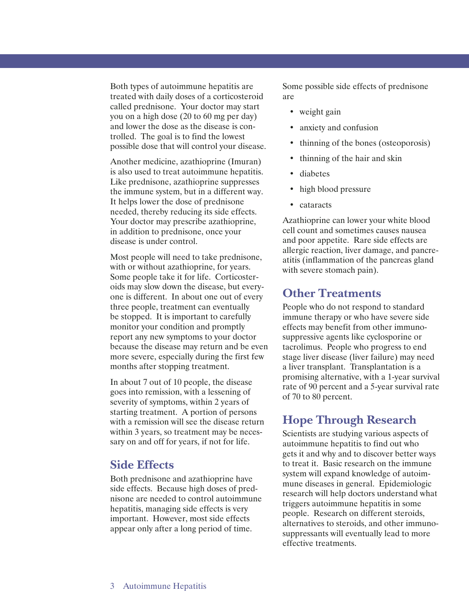Both types of autoimmune hepatitis are treated with daily doses of a corticosteroid called prednisone. Your doctor may start you on a high dose (20 to 60 mg per day) and lower the dose as the disease is controlled. The goal is to find the lowest possible dose that will control your disease.

Another medicine, azathioprine (Imuran) is also used to treat autoimmune hepatitis. Like prednisone, azathioprine suppresses the immune system, but in a different way. It helps lower the dose of prednisone needed, thereby reducing its side effects. Your doctor may prescribe azathioprine, in addition to prednisone, once your disease is under control.

Most people will need to take prednisone, with or without azathioprine, for years. Some people take it for life. Corticosteroids may slow down the disease, but everyone is different. In about one out of every three people, treatment can eventually be stopped. It is important to carefully monitor your condition and promptly report any new symptoms to your doctor because the disease may return and be even more severe, especially during the first few months after stopping treatment.

In about 7 out of 10 people, the disease goes into remission, with a lessening of severity of symptoms, within 2 years of starting treatment. A portion of persons with a remission will see the disease return within 3 years, so treatment may be necessary on and off for years, if not for life.

### **Side Effects**

Both prednisone and azathioprine have side effects. Because high doses of prednisone are needed to control autoimmune hepatitis, managing side effects is very important. However, most side effects appear only after a long period of time.

Some possible side effects of prednisone are

- weight gain
- anxiety and confusion
- thinning of the bones (osteoporosis)
- thinning of the hair and skin
- diabetes
- high blood pressure
- cataracts

Azathioprine can lower your white blood cell count and sometimes causes nausea and poor appetite. Rare side effects are allergic reaction, liver damage, and pancreatitis (inflammation of the pancreas gland with severe stomach pain).

### **Other Treatments**

People who do not respond to standard immune therapy or who have severe side effects may benefit from other immunosuppressive agents like cyclosporine or tacrolimus. People who progress to end stage liver disease (liver failure) may need a liver transplant. Transplantation is a promising alternative, with a 1-year survival rate of 90 percent and a 5-year survival rate of 70 to 80 percent.

# **Hope Through Research**

Scientists are studying various aspects of autoimmune hepatitis to find out who gets it and why and to discover better ways to treat it. Basic research on the immune system will expand knowledge of autoimmune diseases in general. Epidemiologic research will help doctors understand what triggers autoimmune hepatitis in some people. Research on different steroids, alternatives to steroids, and other immunosuppressants will eventually lead to more effective treatments.